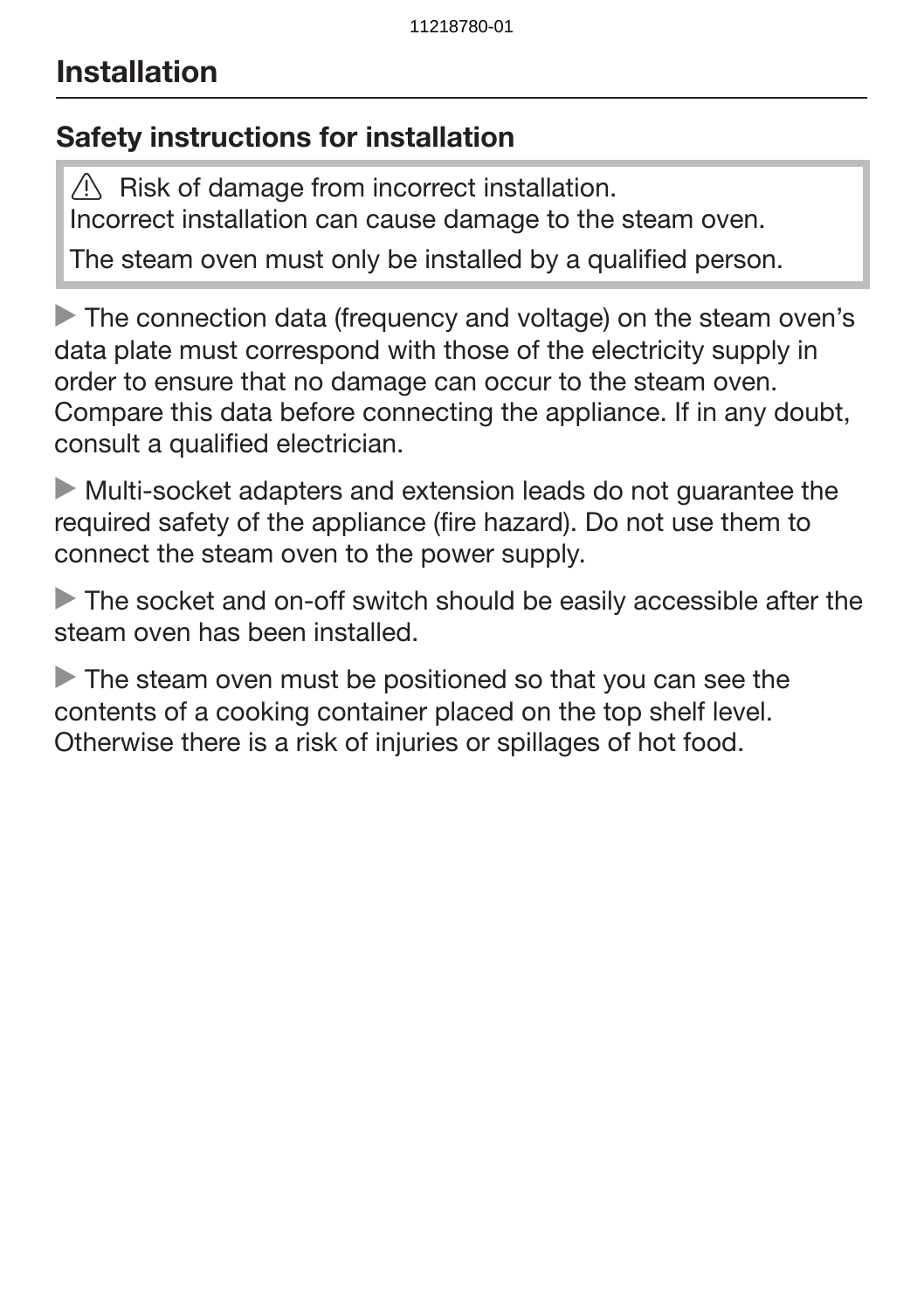### Safety instructions for installation

 $\sqrt{N}$  Risk of damage from incorrect installation. Incorrect installation can cause damage to the steam oven.

The steam oven must only be installed by a qualified person.

The connection data (frequency and voltage) on the steam oven's data plate must correspond with those of the electricity supply in order to ensure that no damage can occur to the steam oven. Compare this data before connecting the appliance. If in any doubt, consult a qualified electrician.

 Multi-socket adapters and extension leads do not guarantee the required safety of the appliance (fire hazard). Do not use them to connect the steam oven to the power supply.

The socket and on-off switch should be easily accessible after the steam oven has been installed.

The steam oven must be positioned so that you can see the contents of a cooking container placed on the top shelf level. Otherwise there is a risk of injuries or spillages of hot food.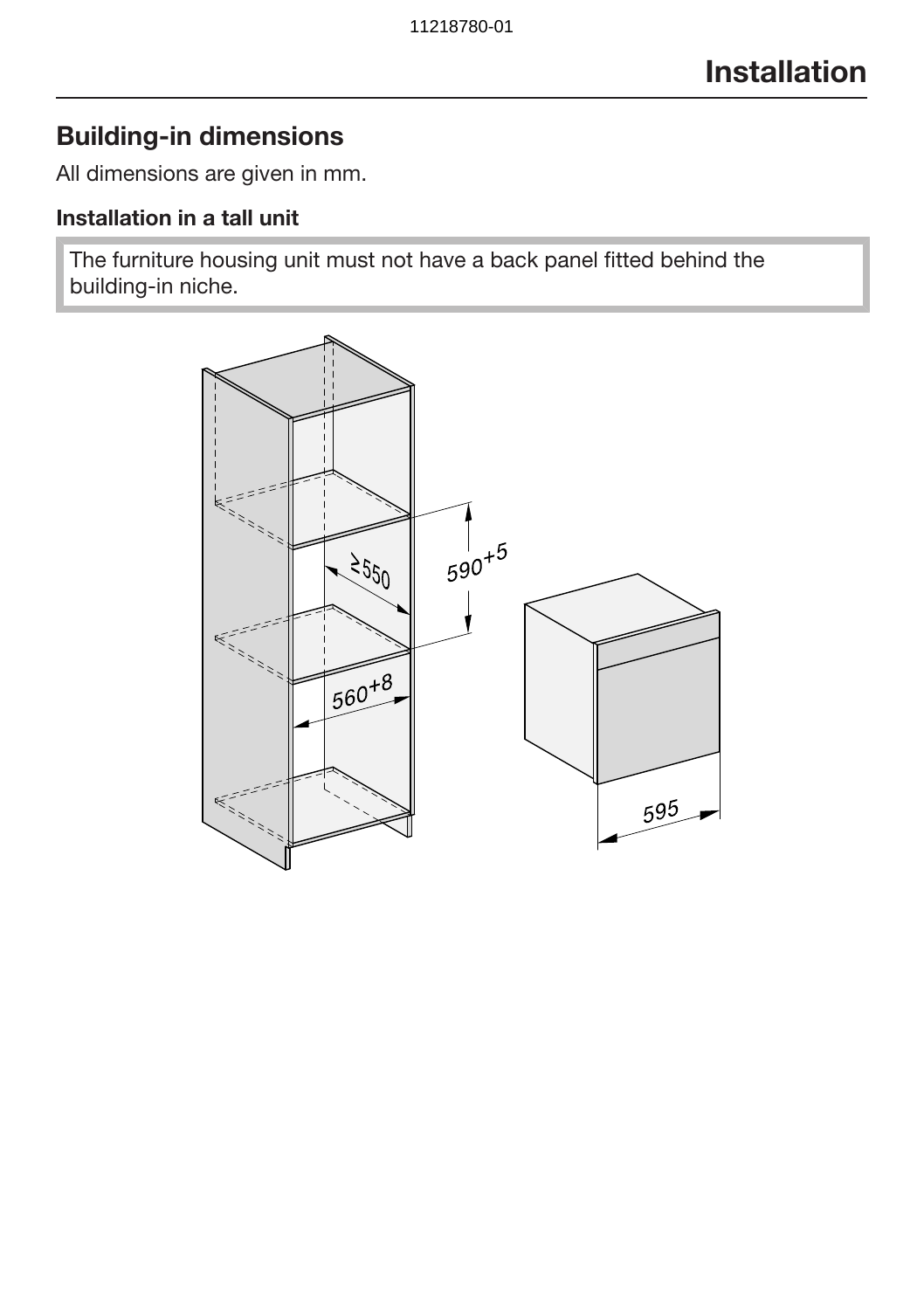### Building-in dimensions

All dimensions are given in mm.

### Installation in a tall unit

The furniture housing unit must not have a back panel fitted behind the building-in niche.

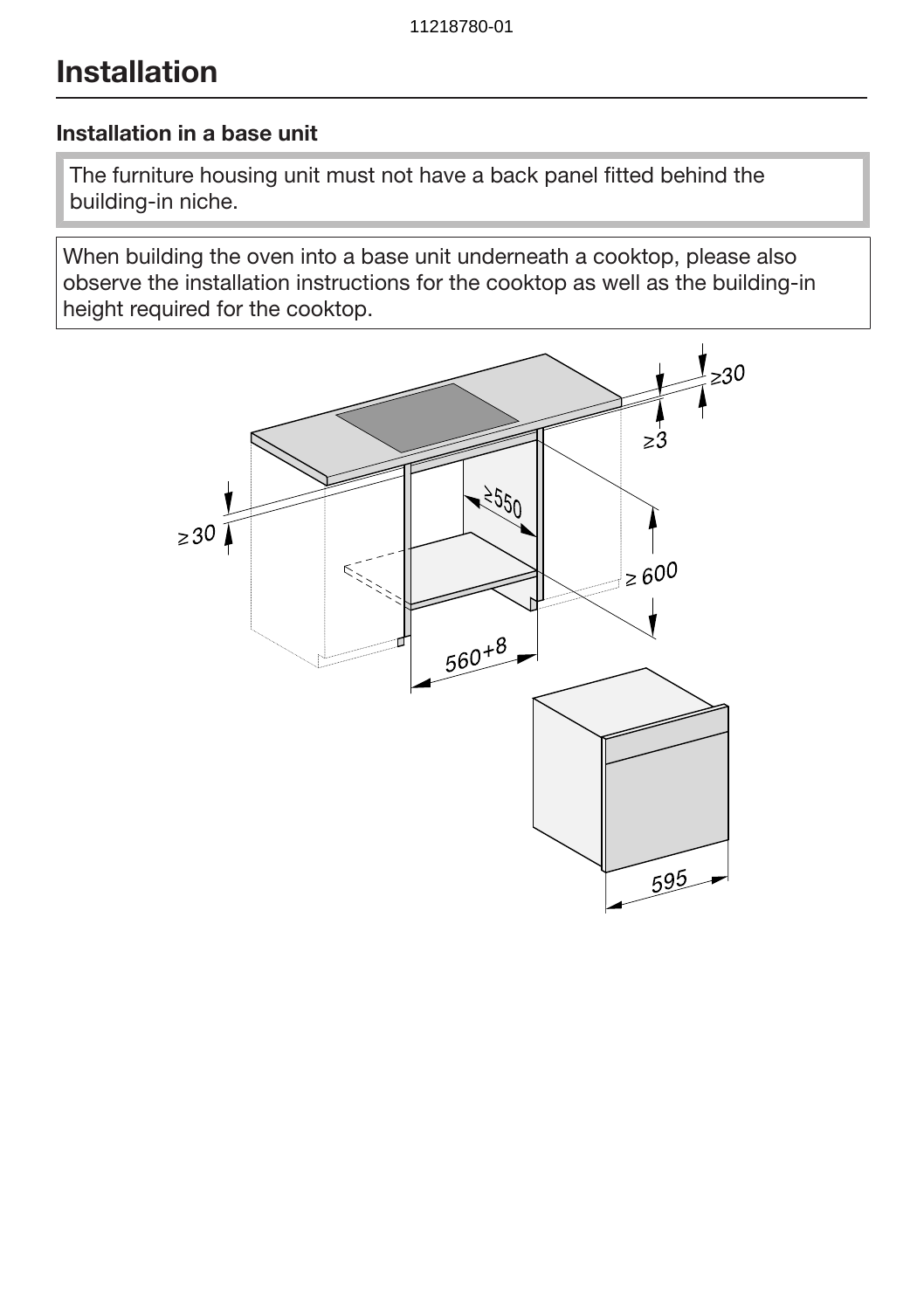#### Installation in a base unit

The furniture housing unit must not have a back panel fitted behind the building-in niche.

When building the oven into a base unit underneath a cooktop, please also observe the installation instructions for the cooktop as well as the building-in height required for the cooktop.

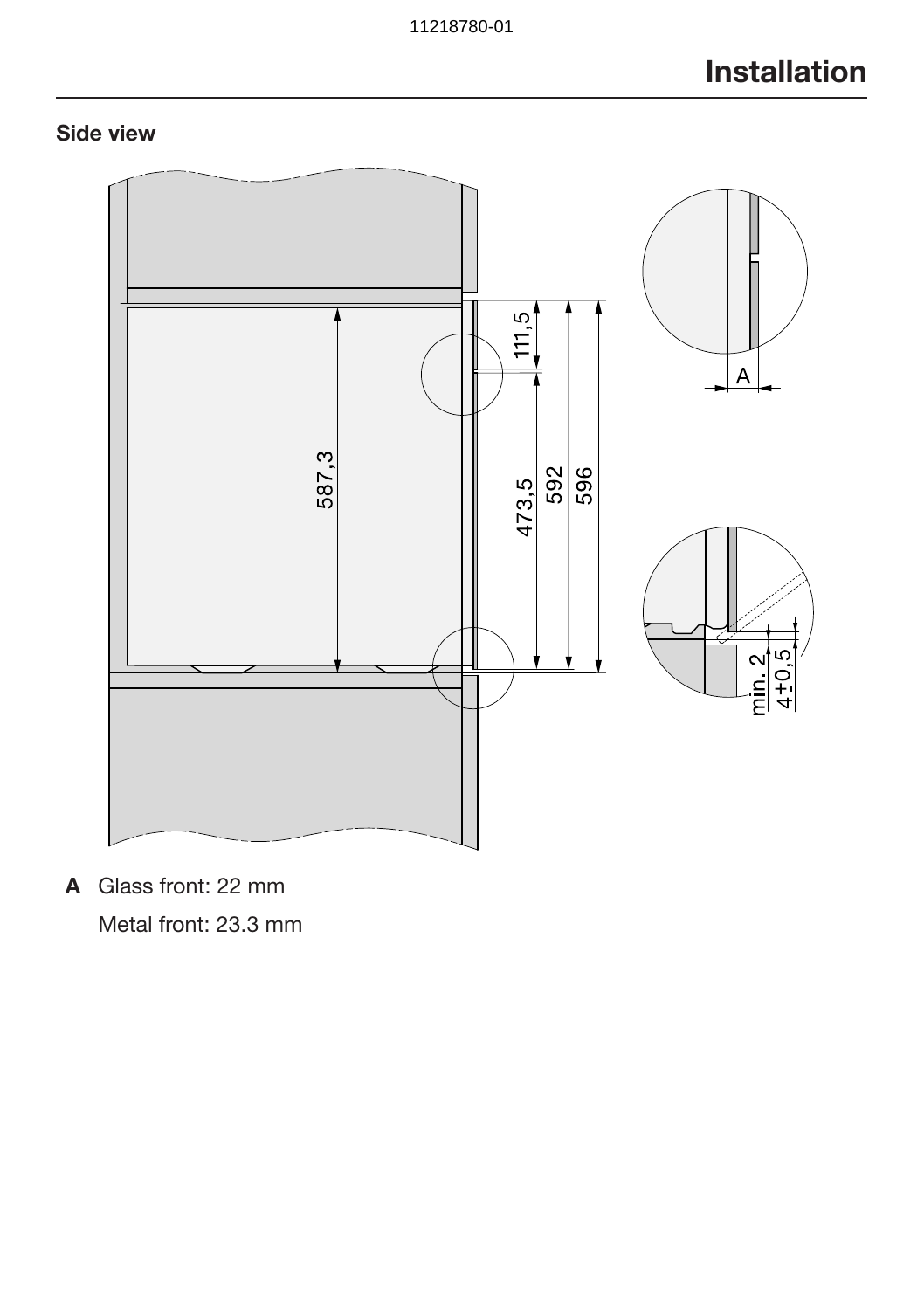### Side view



A Glass front: 22 mm

Metal front: 23.3 mm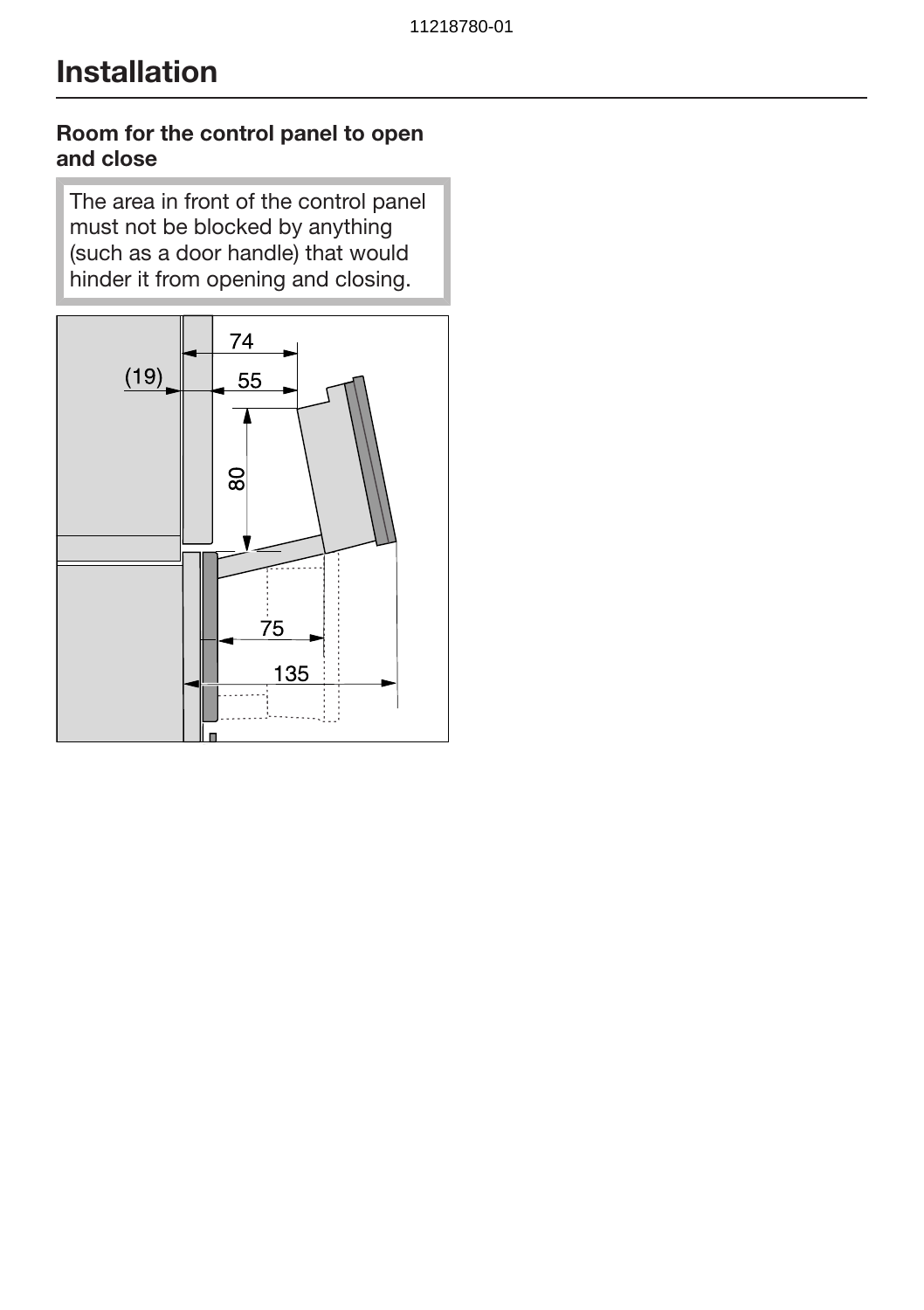#### Room for the control panel to open and close

The area in front of the control panel must not be blocked by anything (such as a door handle) that would hinder it from opening and closing.

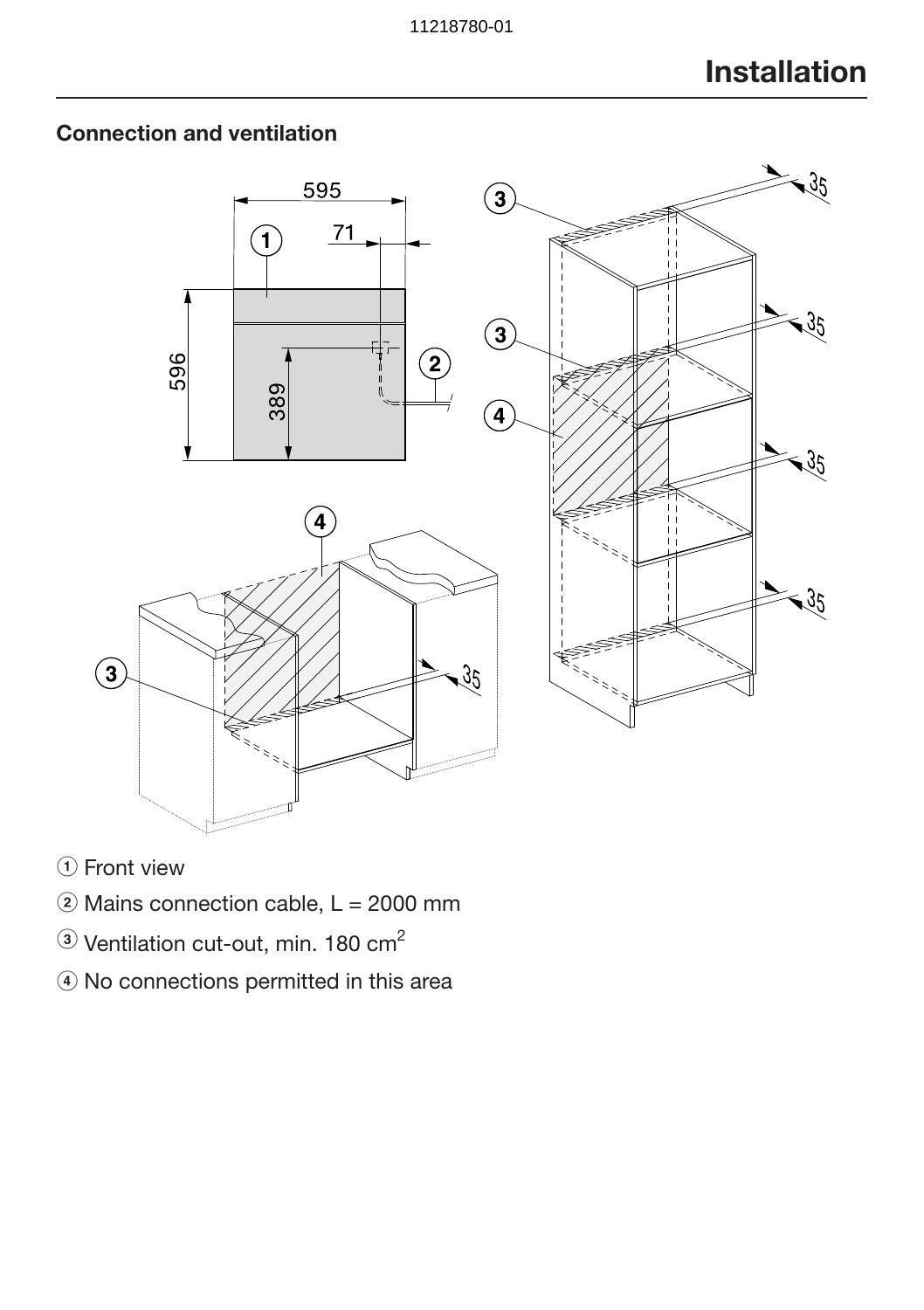

### Connection and ventilation

- 1) Front view
- $\ddot{2}$  Mains connection cable, L = 2000 mm
- $\circledR$  Ventilation cut-out, min. 180 cm<sup>2</sup>
- d No connections permitted in this area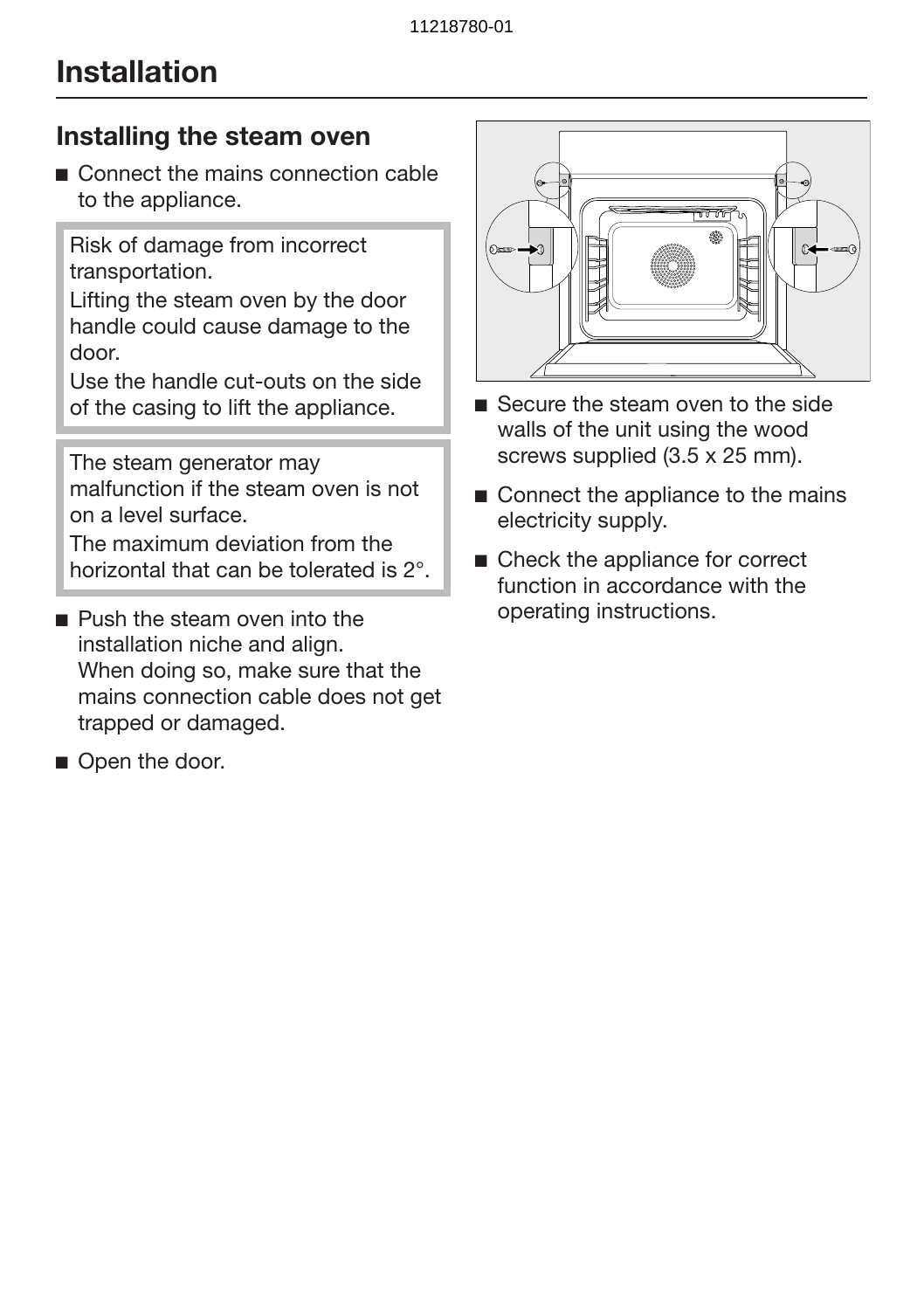### Installing the steam oven

■ Connect the mains connection cable to the appliance.

Risk of damage from incorrect transportation.

Lifting the steam oven by the door handle could cause damage to the door.

Use the handle cut-outs on the side of the casing to lift the appliance.

The steam generator may malfunction if the steam oven is not on a level surface.

The maximum deviation from the horizontal that can be tolerated is 2°.

- **Push the steam oven into the** installation niche and align. When doing so, make sure that the mains connection cable does not get trapped or damaged.
- Open the door.



- Secure the steam oven to the side walls of the unit using the wood screws supplied (3.5 x 25 mm).
- Connect the appliance to the mains electricity supply.
- Check the appliance for correct function in accordance with the operating instructions.